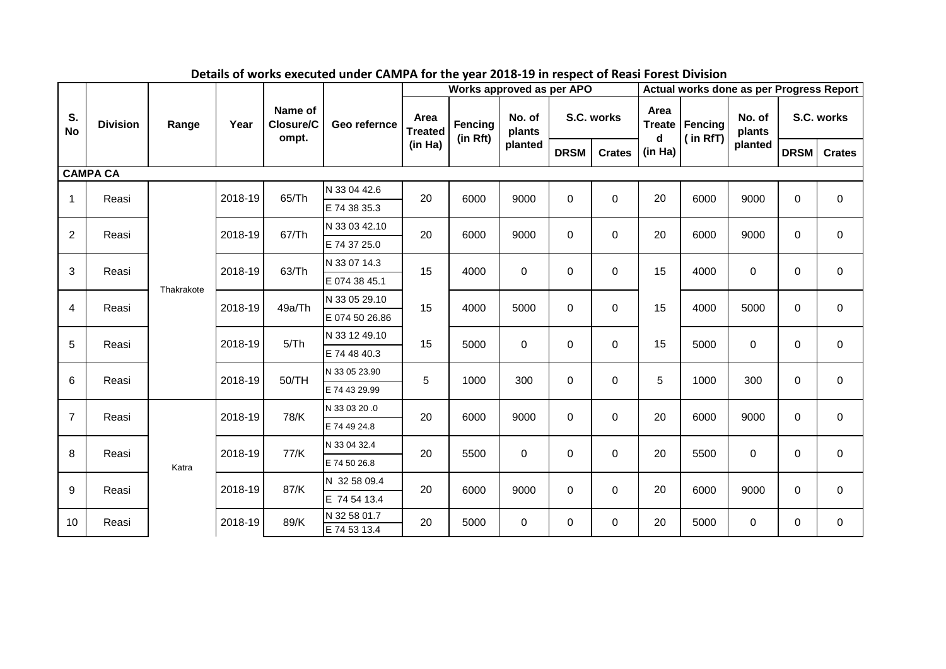|                 |                 |            |         |                               |                              |                                   | Works approved as per APO |                  |             |                  | Actual works done as per Progress Report          |      |                  |             |               |  |  |
|-----------------|-----------------|------------|---------|-------------------------------|------------------------------|-----------------------------------|---------------------------|------------------|-------------|------------------|---------------------------------------------------|------|------------------|-------------|---------------|--|--|
| S.<br><b>No</b> | <b>Division</b> | Range      | Year    | Name of<br>Closure/C<br>ompt. | Geo refernce                 | Area<br><b>Treated</b><br>(in Ha) | Fencing<br>(in Rft)       | No. of<br>plants |             | S.C. works       | Area<br><b>Treate</b><br>Fencing<br>(in RfT)<br>d |      | No. of<br>plants | S.C. works  |               |  |  |
|                 |                 |            |         |                               |                              |                                   |                           | planted          | <b>DRSM</b> | <b>Crates</b>    | (in Ha)                                           |      | planted          | DRSM        | <b>Crates</b> |  |  |
|                 | <b>CAMPA CA</b> |            |         |                               |                              |                                   |                           |                  |             |                  |                                                   |      |                  |             |               |  |  |
| $\mathbf{1}$    | Reasi           |            | 2018-19 | 65/Th                         | N 33 04 42.6                 | 20                                | 6000                      | 9000             | $\mathbf 0$ | 0                | 20                                                | 6000 | 9000             | $\mathbf 0$ | $\mathbf 0$   |  |  |
|                 |                 |            |         |                               | E 74 38 35.3                 |                                   |                           |                  |             |                  |                                                   |      |                  |             |               |  |  |
| $\overline{2}$  | Reasi           |            | 2018-19 | 67/Th                         | N 33 03 42.10                | 20                                | 6000                      | 9000             | $\mathbf 0$ | $\boldsymbol{0}$ | 20                                                | 6000 | 9000             | $\mathbf 0$ | $\mathbf 0$   |  |  |
|                 |                 |            |         |                               | E 74 37 25.0                 |                                   |                           |                  |             |                  |                                                   |      |                  |             |               |  |  |
| 3               | Reasi           |            | 2018-19 | 63/Th                         | N 33 07 14.3                 | 15                                | 4000                      | $\mathbf 0$      | $\mathbf 0$ | 0                | 15                                                | 4000 | $\mathbf 0$      | $\mathbf 0$ | $\mathbf 0$   |  |  |
|                 |                 | Thakrakote |         |                               | E 074 38 45.1                |                                   |                           |                  |             |                  |                                                   |      |                  |             |               |  |  |
| 4               | Reasi           |            | 2018-19 |                               | N 33 05 29.10<br>49a/Th      | 15                                | 4000                      | 5000             | $\mathbf 0$ | $\mathbf 0$      | 15                                                | 4000 | 5000             | $\Omega$    | $\mathbf 0$   |  |  |
|                 |                 |            |         |                               | E 074 50 26.86               |                                   |                           |                  |             |                  |                                                   |      |                  |             |               |  |  |
| 5               | Reasi           |            | 2018-19 | 5/Th                          | N 33 12 49.10                | 15                                | 5000                      | $\Omega$         | $\mathbf 0$ | $\mathbf 0$      | 15                                                | 5000 | $\mathbf 0$      | $\Omega$    | $\mathbf 0$   |  |  |
|                 |                 |            |         |                               | E 74 48 40.3                 |                                   |                           |                  |             |                  |                                                   |      |                  |             |               |  |  |
| 6               | Reasi           |            | 2018-19 | 50/TH                         | N 33 05 23.90                | 5                                 | 1000                      | 300              | $\mathbf 0$ | $\mathbf 0$      | 5                                                 | 1000 | 300              | $\mathbf 0$ | $\mathbf 0$   |  |  |
|                 |                 |            |         |                               | E 74 43 29.99                |                                   |                           |                  |             |                  |                                                   |      |                  |             |               |  |  |
| $\overline{7}$  | Reasi           |            | 2018-19 | 78/K                          | N 33 03 20 .0                | 20                                | 6000                      | 9000             | $\mathbf 0$ | $\mathbf 0$      | 20                                                | 6000 | 9000             | $\Omega$    | $\mathbf 0$   |  |  |
|                 |                 |            |         |                               | E 74 49 24.8                 |                                   |                           |                  |             |                  |                                                   |      |                  |             |               |  |  |
| 8               | Reasi           |            | 2018-19 | 77/K                          | N 33 04 32.4                 | 20                                | 5500                      | $\mathbf 0$      | $\mathbf 0$ | $\mathbf 0$      | 20                                                | 5500 | 0                | $\mathbf 0$ | $\mathbf 0$   |  |  |
|                 |                 | Katra      |         |                               | E 74 50 26.8                 |                                   |                           |                  |             |                  |                                                   |      |                  |             |               |  |  |
| $9\,$           | Reasi           |            | 2018-19 | 87/K                          | N 32 58 09.4                 | 20                                | 6000                      | 9000             | $\mathbf 0$ | $\mathbf 0$      | 20                                                | 6000 | 9000             | $\Omega$    | $\mathbf 0$   |  |  |
|                 |                 |            |         |                               | E 74 54 13.4                 |                                   |                           |                  |             |                  |                                                   |      |                  |             |               |  |  |
| 10              | Reasi           |            | 2018-19 | 89/K                          | N 32 58 01.7<br>E 74 53 13.4 | 20                                | 5000                      | $\mathbf 0$      | $\mathbf 0$ | 0                | 20                                                | 5000 | $\mathbf 0$      | $\Omega$    | $\mathbf 0$   |  |  |

**Details of works executed under CAMPA for the year 2018-19 in respect of Reasi Forest Division**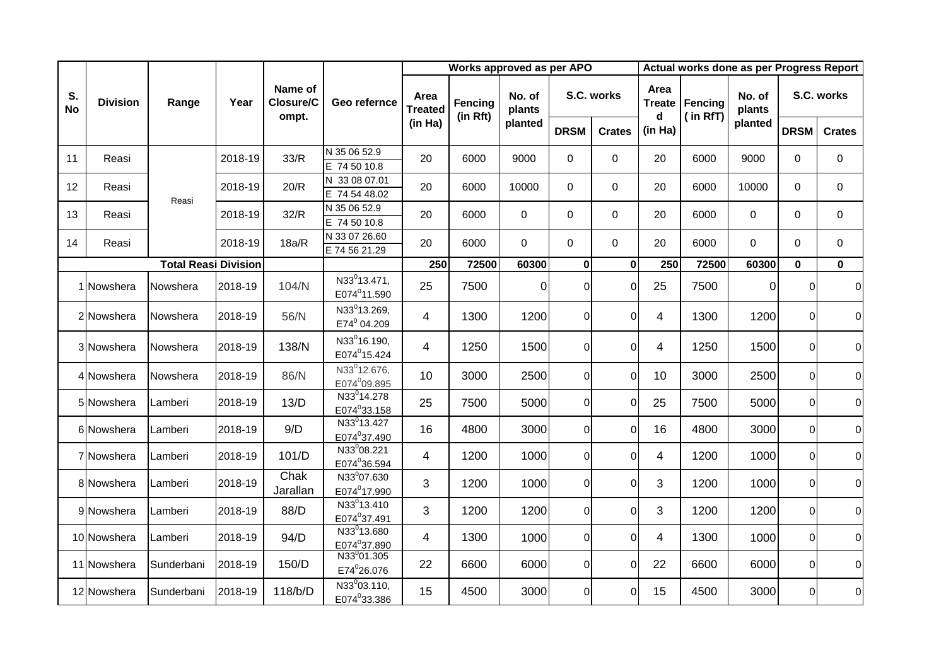|                 |                 |                             |         | Name of<br>Closure/C<br>ompt. | Geo refernce                                         | Works approved as per APO |                     |                  |                |               |                | Actual works done as per Progress Report |                  |                |                |  |  |  |
|-----------------|-----------------|-----------------------------|---------|-------------------------------|------------------------------------------------------|---------------------------|---------------------|------------------|----------------|---------------|----------------|------------------------------------------|------------------|----------------|----------------|--|--|--|
| S.<br><b>No</b> | <b>Division</b> | Range                       | Year    |                               |                                                      | Area<br><b>Treated</b>    | Fencing<br>(in Rft) | No. of<br>plants |                | S.C. works    | Area<br>d      | Treate   Fencing<br>(in RfT)             | No. of<br>plants | S.C. works     |                |  |  |  |
|                 |                 |                             |         |                               |                                                      | (in Ha)                   |                     | planted          | <b>DRSM</b>    | <b>Crates</b> | (in Ha)        |                                          | planted          | <b>DRSM</b>    | <b>Crates</b>  |  |  |  |
| 11              | Reasi           |                             | 2018-19 | 33/R                          | N 35 06 52.9<br>E 74 50 10.8                         | 20                        | 6000                | 9000             | 0              | 0             | 20             | 6000                                     | 9000             | $\Omega$       | $\mathbf 0$    |  |  |  |
| 12              | Reasi           | Reasi                       | 2018-19 | 20/R                          | N 33 08 07.01<br>E 74 54 48.02                       | 20                        | 6000                | 10000            | $\mathbf 0$    | 0             | 20             | 6000                                     | 10000            | $\Omega$       | $\mathbf 0$    |  |  |  |
| 13              | Reasi           |                             | 2018-19 | 32/R                          | N 35 06 52.9<br>E 74 50 10.8                         | 20                        | 6000                | $\mathbf 0$      | $\mathbf 0$    | 0             | 20             | 6000                                     | 0                | $\Omega$       | $\mathbf 0$    |  |  |  |
| 14              | Reasi           |                             | 2018-19 | 18a/R                         | N 33 07 26.60<br>E 74 56 21.29                       | 20                        | 6000                | $\Omega$         | $\Omega$       | $\mathbf 0$   | 20             | 6000                                     | $\Omega$         | $\Omega$       | $\mathbf 0$    |  |  |  |
|                 |                 | <b>Total Reasi Division</b> |         |                               |                                                      | 250                       | 72500               | 60300            | $\mathbf{0}$   | $\bf{0}$      | 250            | 72500                                    | 60300            | $\mathbf 0$    | $\mathbf 0$    |  |  |  |
|                 | Nowshera        | Nowshera                    | 2018-19 | 104/N                         | N33 <sup>0</sup> 13.471,<br>E074 <sup>0</sup> 11.590 | 25                        | 7500                | $\Omega$         | $\Omega$       | $\Omega$      | 25             | 7500                                     | $\overline{0}$   | $\Omega$       | $\overline{0}$ |  |  |  |
|                 | 2 Nowshera      | Nowshera                    | 2018-19 | 56/N                          | N33 <sup>0</sup> 13.269,<br>E74 <sup>0</sup> 04.209  | $\overline{\mathcal{A}}$  | 1300                | 1200             | $\overline{0}$ | $\Omega$      | $\overline{4}$ | 1300                                     | 1200             | $\overline{0}$ | $\overline{0}$ |  |  |  |
|                 | 3 Nowshera      | Nowshera                    | 2018-19 | 138/N                         | N33 <sup>0</sup> 16.190,<br>E074 <sup>0</sup> 15.424 | $\overline{4}$            | 1250                | 1500             | $\Omega$       | $\Omega$      | 4              | 1250                                     | 1500             | $\Omega$       | $\overline{0}$ |  |  |  |
|                 | 4 Nowshera      | Nowshera                    | 2018-19 | 86/N                          | N33 <sup>0</sup> 12.676,<br>E074 <sup>0</sup> 09.895 | 10                        | 3000                | 2500             | $\Omega$       | $\Omega$      | 10             | 3000                                     | 2500             | $\overline{0}$ | $\overline{0}$ |  |  |  |
|                 | 5 Nowshera      | Lamberi                     | 2018-19 | 13/D                          | N33 <sup>0</sup> 14.278<br>E074 <sup>0</sup> 33.158  | 25                        | 7500                | 5000             | $\overline{0}$ | $\Omega$      | 25             | 7500                                     | 5000             | $\overline{0}$ | $\overline{0}$ |  |  |  |
|                 | 6lNowshera      | Lamberi                     | 2018-19 | 9/D                           | N33 <sup>0</sup> 13.427<br>E074°37.490               | 16                        | 4800                | 3000             | $\overline{0}$ | $\mathbf 0$   | 16             | 4800                                     | 3000             | $\overline{0}$ | $\overline{0}$ |  |  |  |
|                 | 7 Nowshera      | Lamberi                     | 2018-19 | 101/D                         | N33 <sup>0</sup> 08.221<br>E074°36.594               | $\overline{4}$            | 1200                | 1000             | $\overline{0}$ | $\Omega$      | 4              | 1200                                     | 1000             | $\overline{0}$ | $\overline{0}$ |  |  |  |
|                 | 8 Nowshera      | Lamberi                     | 2018-19 | Chak<br>Jarallan              | N33º07.630<br>E074 <sup>0</sup> 17.990               | 3                         | 1200                | 1000             | $\Omega$       | $\Omega$      | 3              | 1200                                     | 1000             | $\overline{0}$ | $\overline{0}$ |  |  |  |
|                 | 9 Nowshera      | Lamberi                     | 2018-19 | 88/D                          | N33 <sup>0</sup> 13.410<br>E074°37.491               | 3                         | 1200                | 1200             | $\overline{0}$ | $\Omega$      | 3              | 1200                                     | 1200             | $\overline{0}$ | $\overline{0}$ |  |  |  |
|                 | 10 Nowshera     | Lamberi                     | 2018-19 | 94/D                          | N33 <sup>0</sup> 13.680<br>E074°37.890               | $\overline{4}$            | 1300                | 1000             | $\Omega$       | $\Omega$      | 4              | 1300                                     | 1000             | $\overline{0}$ | $\overline{0}$ |  |  |  |
|                 | 11 Nowshera     | Sunderbani                  | 2018-19 | 150/D                         | N33 <sup>0</sup> 01.305<br>E74 <sup>0</sup> 26.076   | 22                        | 6600                | 6000             | $\overline{0}$ | $\Omega$      | 22             | 6600                                     | 6000             | $\overline{0}$ | $\overline{0}$ |  |  |  |
|                 | 12 Nowshera     | Sunderbani                  | 2018-19 | 118/b/D                       | N33 <sup>0</sup> 03.110,<br>E074 <sup>0</sup> 33.386 | 15                        | 4500                | 3000             | $\overline{0}$ | $\Omega$      | 15             | 4500                                     | 3000             | $\overline{0}$ | $\overline{0}$ |  |  |  |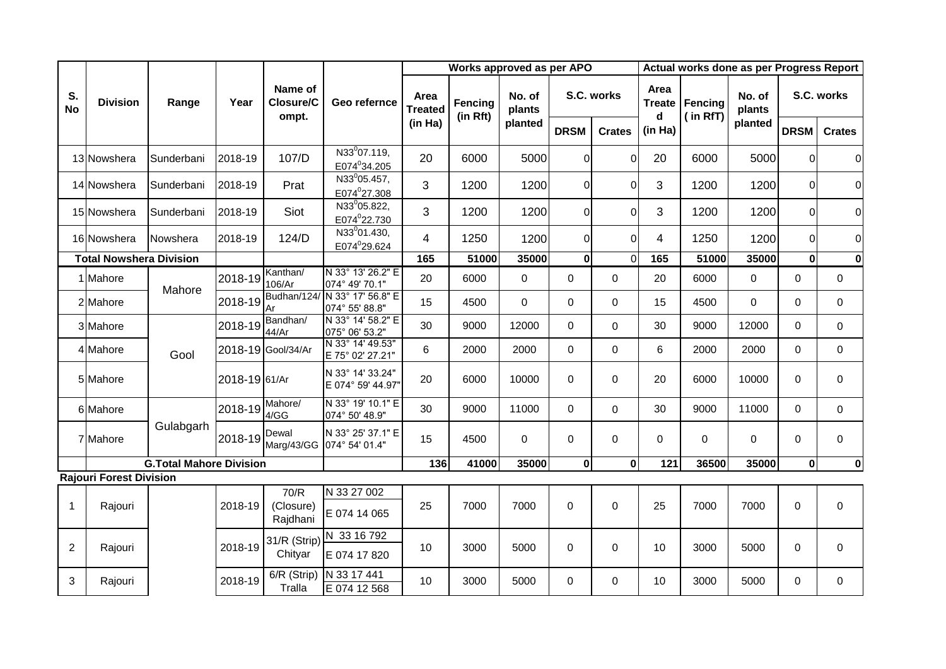|                 |                                |                                |               | Name of<br>Closure/C<br>ompt. | Geo refernce                                         |                                     | Works approved as per APO |                  |                |                | Actual works done as per Progress Report |                     |                  |              |                |             |  |
|-----------------|--------------------------------|--------------------------------|---------------|-------------------------------|------------------------------------------------------|-------------------------------------|---------------------------|------------------|----------------|----------------|------------------------------------------|---------------------|------------------|--------------|----------------|-------------|--|
| S.<br><b>No</b> | <b>Division</b>                | Range                          | Year          |                               |                                                      | Area<br><b>Treated</b>              | Fencing<br>(in Rft)       | No. of<br>plants |                | S.C. works     | Area<br><b>Treate</b><br>d               | Fencing<br>(in RfT) | No. of<br>plants | S.C. works   |                |             |  |
|                 |                                |                                |               |                               |                                                      | (in Ha)                             |                           | planted          | <b>DRSM</b>    | <b>Crates</b>  | (in Ha)                                  |                     | planted          | <b>DRSM</b>  | <b>Crates</b>  |             |  |
|                 | 13 Nowshera                    | Sunderbani                     | 2018-19       | 107/D                         | N33 <sup>0</sup> 07.119,<br>E074°34.205              | 20                                  | 6000                      | 5000             | $\Omega$       | $\overline{0}$ | 20                                       | 6000                | 5000             | $\Omega$     | $\overline{0}$ |             |  |
|                 | 14 Nowshera                    | Sunderbani                     | 2018-19       | Prat                          | N33 <sup>0</sup> 05.457,<br>E074 <sup>0</sup> 27.308 | 3                                   | 1200                      | 1200             | 0              | $\Omega$       | 3                                        | 1200                | 1200             | $\Omega$     | $\overline{O}$ |             |  |
|                 | 15 Nowshera                    | Sunderbani                     | 2018-19       | Siot                          | N33 <sup>0</sup> 05.822,<br>E074°22.730              | 3                                   | 1200                      | 1200             | $\Omega$       | $\Omega$       | 3                                        | 1200                | 1200             | $\Omega$     | $\overline{0}$ |             |  |
|                 | 16 Nowshera                    | Nowshera                       | 2018-19       | 124/D                         | N33 <sup>0</sup> 01.430,<br>E074°29.624              | 4                                   | 1250                      | 1200             | $\Omega$       | $\Omega$       | $\overline{4}$                           | 1250                | 1200             | $\Omega$     | $\overline{0}$ |             |  |
|                 | <b>Total Nowshera Division</b> |                                |               |                               |                                                      | 165                                 | 51000                     | 35000            | $\mathbf{0}$   | $\Omega$       | 165                                      | 51000               | 35000            | $\mathbf{0}$ | $\mathbf 0$    |             |  |
|                 | 1 Mahore                       | Mahore                         | 2018-19       | Kanthan/<br>106/Ar            | N 33° 13' 26.2" E<br>074° 49' 70.1"                  | 20                                  | 6000                      | 0                | 0              | $\mathbf 0$    | 20                                       | 6000                | $\mathbf 0$      | $\Omega$     | 0              |             |  |
|                 | 2 Mahore                       |                                |               | 2018-19                       | Budhan/124/<br>Ar                                    | N 33° 17' 56.8" E<br>074° 55' 88.8" | 15                        | 4500             | $\mathbf{0}$   | $\overline{0}$ | $\mathbf 0$                              | 15                  | 4500             | $\mathbf 0$  | $\mathbf 0$    | $\mathbf 0$ |  |
|                 | 3 Mahore                       |                                | 2018-19       | Bandhan/<br>44/Ar             | N 33° 14' 58.2" E<br>075° 06' 53.2"                  | 30                                  | 9000                      | 12000            | $\Omega$       | $\Omega$       | 30                                       | 9000                | 12000            | $\Omega$     | $\mathbf{0}$   |             |  |
|                 | 4 Mahore                       | Gool                           |               | 2018-19 Gool/34/Ar            | N 33° 14' 49.53"<br>E 75° 02' 27.21"                 | 6                                   | 2000                      | 2000             | $\Omega$       | 0              | 6                                        | 2000                | 2000             | $\Omega$     | $\mathbf 0$    |             |  |
|                 | 5 Mahore                       |                                | 2018-19 61/Ar |                               | N 33° 14' 33.24"<br>E 074° 59' 44.97"                | 20                                  | 6000                      | 10000            | $\overline{0}$ | $\Omega$       | 20                                       | 6000                | 10000            | $\Omega$     | $\mathbf 0$    |             |  |
|                 | 6 Mahore                       |                                | 2018-19       | Mahore/<br>4/GG               | N 33° 19' 10.1" E<br>074° 50' 48.9"                  | 30                                  | 9000                      | 11000            | $\mathbf 0$    | $\overline{0}$ | 30                                       | 9000                | 11000            | $\Omega$     | $\mathbf 0$    |             |  |
|                 | 7 Mahore                       | Gulabgarh                      | 2018-19       | Dewal<br>Marg/43/GG           | N 33° 25' 37.1" E<br>074° 54' 01.4"                  | 15                                  | 4500                      | $\mathbf{0}$     | $\overline{0}$ | $\mathbf 0$    | $\Omega$                                 | $\Omega$            | $\Omega$         | $\Omega$     | $\overline{0}$ |             |  |
|                 |                                | <b>G.Total Mahore Division</b> |               |                               |                                                      | 136                                 | 41000                     | 35000            | $\mathbf 0$    | $\mathbf{0}$   | 121                                      | 36500               | 35000            | $\mathbf{0}$ | 0              |             |  |
|                 | <b>Rajouri Forest Division</b> |                                |               |                               |                                                      |                                     |                           |                  |                |                |                                          |                     |                  |              |                |             |  |
| $\mathbf{1}$    | Rajouri                        |                                | 2018-19       | 70/R<br>(Closure)<br>Rajdhani | N 33 27 002<br>E 074 14 065                          | 25                                  | 7000                      | 7000             | $\mathbf 0$    | $\overline{0}$ | 25                                       | 7000                | 7000             | $\mathbf 0$  | $\overline{0}$ |             |  |
| $\overline{2}$  | Rajouri                        |                                | 2018-19       | 31/R (Strip)<br>Chityar       | N 33 16 792<br>E 074 17 820                          | 10 <sup>°</sup>                     | 3000                      | 5000             | $\Omega$       | 0              | 10                                       | 3000                | 5000             | $\Omega$     | $\mathbf 0$    |             |  |
| 3               | Rajouri                        |                                | 2018-19       | 6/R (Strip)<br>Tralla         | N 33 17 441<br>E 074 12 568                          | 10                                  | 3000                      | 5000             | $\mathbf{0}$   | $\mathbf 0$    | 10                                       | 3000                | 5000             | 0            | $\mathbf 0$    |             |  |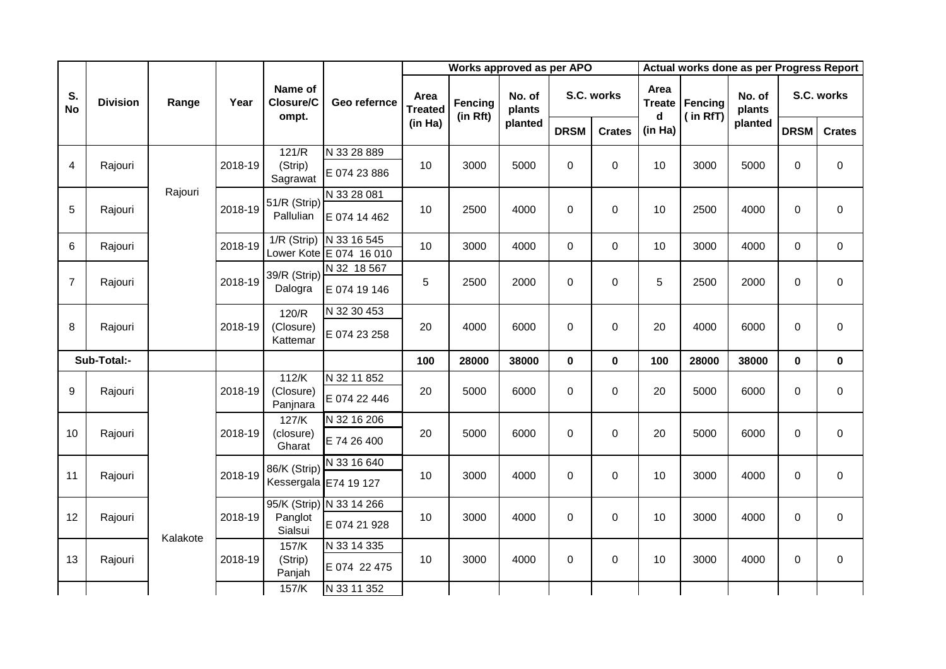|                 |                 |          |         |                               |                                        |                        | Works approved as per APO |                  |             | Actual works done as per Progress Report |                            |                     |                  |             |                  |
|-----------------|-----------------|----------|---------|-------------------------------|----------------------------------------|------------------------|---------------------------|------------------|-------------|------------------------------------------|----------------------------|---------------------|------------------|-------------|------------------|
| S.<br><b>No</b> | <b>Division</b> | Range    | Year    | Name of<br>Closure/C<br>ompt. | Geo refernce                           | Area<br><b>Treated</b> | Fencing<br>(in Rft)       | No. of<br>plants |             | S.C. works                               | Area<br><b>Treate</b><br>d | Fencing<br>(in RfT) | No. of<br>plants |             | S.C. works       |
|                 |                 |          |         |                               |                                        | (in Ha)                |                           | planted          | <b>DRSM</b> | <b>Crates</b>                            | (in Ha)                    |                     | planted          | <b>DRSM</b> | <b>Crates</b>    |
|                 |                 |          |         | 121/R                         | N 33 28 889                            |                        |                           |                  |             |                                          |                            |                     |                  |             |                  |
| 4               | Rajouri         |          | 2018-19 | (Strip)<br>Sagrawat           | E 074 23 886                           | 10                     | 3000                      | 5000             | $\mathbf 0$ | $\mathbf 0$                              | 10                         | 3000                | 5000             | $\mathbf 0$ | $\mathbf 0$      |
|                 |                 | Rajouri  |         | 51/R (Strip)                  | N 33 28 081                            |                        |                           |                  |             |                                          |                            |                     |                  |             |                  |
| 5               | Rajouri         |          | 2018-19 | Pallulian                     | E 074 14 462                           | 10                     | 2500                      | 4000             | $\mathsf 0$ | $\mathbf 0$                              | 10                         | 2500                | 4000             | $\mathbf 0$ | $\pmb{0}$        |
| 6               | Rajouri         |          | 2018-19 | 1/R (Strip)                   | N 33 16 545<br>Lower Kote E 074 16 010 | 10                     | 3000                      | 4000             | 0           | $\boldsymbol{0}$                         | 10                         | 3000                | 4000             | $\mathbf 0$ | $\mathbf 0$      |
|                 |                 |          |         | 39/R (Strip)                  | N 32 18 567                            |                        |                           |                  |             |                                          |                            |                     |                  |             |                  |
| $\overline{7}$  | Rajouri         |          | 2018-19 | Dalogra                       | E 074 19 146                           | 5                      | 2500                      | 2000             | $\mathbf 0$ | $\mathbf 0$                              | 5                          | 2500                | 2000             | $\mathbf 0$ | $\mathbf 0$      |
|                 |                 |          |         | 120/R                         | N 32 30 453                            |                        |                           |                  |             |                                          |                            |                     |                  |             |                  |
| 8               | Rajouri         |          | 2018-19 | (Closure)<br>Kattemar         | E 074 23 258                           | 20                     | 4000                      | 6000             | $\mathbf 0$ | $\mathbf 0$                              | 20                         | 4000                | 6000             | $\mathbf 0$ | $\mathbf 0$      |
|                 | Sub-Total:-     |          |         |                               |                                        | 100                    | 28000                     | 38000            | $\mathbf 0$ | $\mathbf 0$                              | 100                        | 28000               | 38000            | $\mathbf 0$ | $\mathbf 0$      |
|                 |                 |          |         | 112/K                         | N 32 11 852                            |                        |                           |                  |             |                                          |                            |                     |                  |             |                  |
| 9               | Rajouri         |          | 2018-19 | (Closure)<br>Panjnara         | E 074 22 446                           | 20                     | 5000                      | 6000             | $\mathbf 0$ | $\mathbf 0$                              | 20                         | 5000                | 6000             | $\mathbf 0$ | $\boldsymbol{0}$ |
|                 |                 |          |         | 127/K                         | N 32 16 206                            |                        |                           |                  |             |                                          |                            |                     |                  |             |                  |
| 10              | Rajouri         |          | 2018-19 | (closure)<br>Gharat           | E 74 26 400                            | 20                     | 5000                      | 6000             | $\mathbf 0$ | $\boldsymbol{0}$                         | 20                         | 5000                | 6000             | $\mathbf 0$ | $\boldsymbol{0}$ |
| 11              | Rajouri         |          | 2018-19 | 86/K (Strip)                  | N 33 16 640                            | 10                     | 3000                      | 4000             | $\mathbf 0$ | $\boldsymbol{0}$                         | 10                         | 3000                | 4000             | $\mathbf 0$ | $\mathbf 0$      |
|                 |                 |          |         | Kessergala E74 19 127         |                                        |                        |                           |                  |             |                                          |                            |                     |                  |             |                  |
|                 |                 |          |         |                               | 95/K (Strip) N 33 14 266               |                        |                           |                  |             |                                          |                            |                     |                  |             |                  |
| 12              | Rajouri         | Kalakote | 2018-19 | Panglot<br>Sialsui            | E 074 21 928                           | 10                     | 3000                      | 4000             | $\mathbf 0$ | $\boldsymbol{0}$                         | 10                         | 3000                | 4000             | $\mathbf 0$ | $\pmb{0}$        |
|                 |                 |          |         | 157/K                         | N 33 14 335                            |                        |                           |                  |             |                                          |                            |                     |                  |             |                  |
| 13              | Rajouri         |          | 2018-19 | (Strip)<br>Panjah             | E 074 22 475                           | 10                     | 3000                      | 4000             | $\mathsf 0$ | 0                                        | 10                         | 3000                | 4000             | 0           | $\pmb{0}$        |
|                 |                 |          |         | 157/K                         | N 33 11 352                            |                        |                           |                  |             |                                          |                            |                     |                  |             |                  |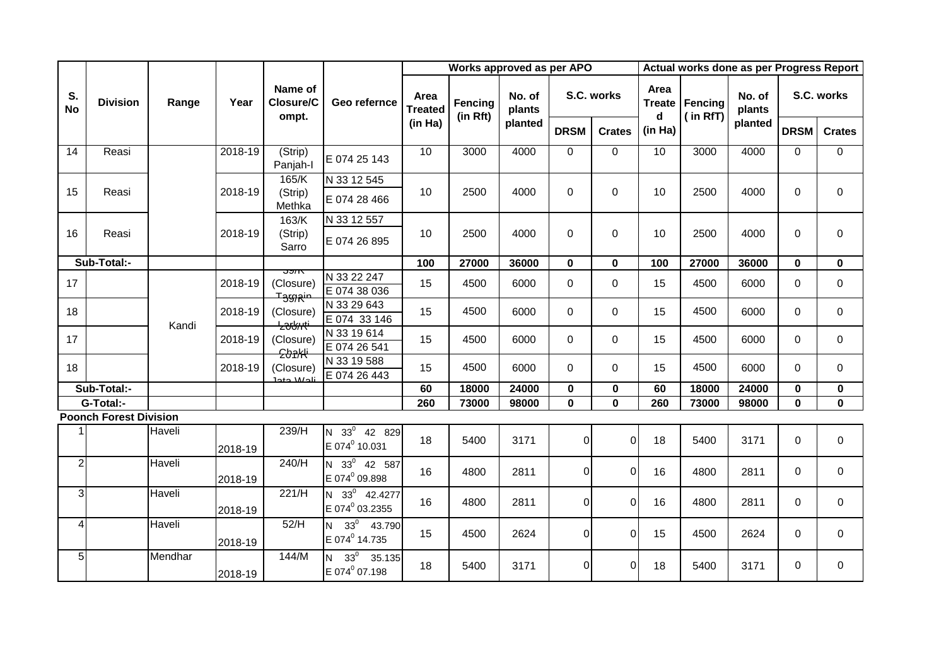|                 |                               |         |         | Name of<br>Closure/C<br>ompt.                      | Geo refernce                                       |                        | Works approved as per APO |                  |             | Actual works done as per Progress Report |                            |                     |                  |                |                  |  |
|-----------------|-------------------------------|---------|---------|----------------------------------------------------|----------------------------------------------------|------------------------|---------------------------|------------------|-------------|------------------------------------------|----------------------------|---------------------|------------------|----------------|------------------|--|
| S.<br><b>No</b> | <b>Division</b>               | Range   | Year    |                                                    |                                                    | Area<br><b>Treated</b> | Fencing<br>(in Rft)       | No. of<br>plants |             | S.C. works                               | Area<br><b>Treate</b><br>d | Fencing<br>(in RfT) | No. of<br>plants | S.C. works     |                  |  |
|                 |                               |         |         |                                                    |                                                    | (in Ha)                |                           | planted          | <b>DRSM</b> | <b>Crates</b>                            | (in Ha)                    |                     | planted          | <b>DRSM</b>    | <b>Crates</b>    |  |
| 14              | Reasi                         |         | 2018-19 | $\overline{\text{(Strip)}}$<br>Panjah-I            | E 074 25 143                                       | 10                     | 3000                      | 4000             | $\Omega$    | $\mathbf 0$                              | 10                         | 3000                | 4000             | $\mathbf 0$    | $\mathbf 0$      |  |
| 15              | Reasi                         |         | 2018-19 | 165/K<br>(Strip)<br>Methka                         | N 33 12 545<br>E 074 28 466                        | 10                     | 2500                      | 4000             | $\mathbf 0$ | $\mathbf 0$                              | 10                         | 2500                | 4000             | $\mathbf 0$    | $\mathbf 0$      |  |
| 16              | Reasi                         |         | 2018-19 | 163/K<br>(Strip)<br>Sarro                          | N 33 12 557<br>E 074 26 895                        | 10                     | 2500                      | 4000             | $\Omega$    | $\Omega$                                 | 10                         | 2500                | 4000             | $\Omega$       | $\Omega$         |  |
|                 | Sub-Total:-                   |         |         |                                                    |                                                    | 100                    | 27000                     | 36000            | $\mathbf 0$ | $\mathbf 0$                              | 100                        | 27000               | 36000            | $\mathbf 0$    | $\mathbf 0$      |  |
| 17              |                               |         | 2018-19 | <u>ುಶಾಗ</u><br>(Closure)                           | N 33 22 247<br>E 074 38 036                        | 15                     | 4500                      | 6000             | 0           | $\mathbf 0$                              | 15                         | 4500                | 6000             | $\mathbf 0$    | $\boldsymbol{0}$ |  |
| 18              |                               | Kandi   | 2018-19 | <del>Tეගൃഗ്ര</del><br>(Closure)<br><del>ĿŵIJ</del> | N 33 29 643<br>E 074 33 146                        | 15                     | 4500                      | 6000             | 0           | $\mathbf 0$                              | 15                         | 4500                | 6000             | $\overline{0}$ | 0                |  |
| 17              |                               |         | 2018-19 | (Closure)<br>ᢓᡈ <del>ᠭᡰᡧ</del>                     | N 33 19 614<br>E 074 26 541                        | 15                     | 4500                      | 6000             | $\Omega$    | $\mathbf 0$                              | 15                         | 4500                | 6000             | $\Omega$       | 0                |  |
| 18              |                               |         | 2018-19 | (Closure)<br>ile W etel                            | N 33 19 588<br>E 074 26 443                        | 15                     | 4500                      | 6000             | 0           | $\mathbf 0$                              | 15                         | 4500                | 6000             | $\mathbf 0$    | 0                |  |
|                 | Sub-Total:-                   |         |         |                                                    |                                                    | 60                     | 18000                     | 24000            | $\pmb{0}$   | $\pmb{0}$                                | 60                         | 18000               | 24000            | $\pmb{0}$      | $\bf{0}$         |  |
|                 | G-Total:-                     |         |         |                                                    |                                                    | 260                    | 73000                     | 98000            | $\bf{0}$    | $\mathbf 0$                              | 260                        | 73000               | 98000            | $\mathbf 0$    | $\bf{0}$         |  |
|                 | <b>Poonch Forest Division</b> |         |         |                                                    |                                                    |                        |                           |                  |             |                                          |                            |                     |                  |                |                  |  |
| 1               |                               | Haveli  | 2018-19 | 239/H                                              | $N$ 33 $^0$<br>42 829<br>E 074 <sup>0</sup> 10.031 | 18                     | 5400                      | 3171             | 0           | $\Omega$                                 | 18                         | 5400                | 3171             | 0              | $\pmb{0}$        |  |
| $\overline{2}$  |                               | Haveli  | 2018-19 | 240/H                                              | $N$ 33 $^0$<br>42 587<br>E 074 <sup>0</sup> 09.898 | 16                     | 4800                      | 2811             | 0           | $\Omega$                                 | 16                         | 4800                | 2811             | $\Omega$       | $\mathbf 0$      |  |
| $\overline{3}$  |                               | Haveli  | 2018-19 | 221/H                                              | N 33 <sup>0</sup> 42.4277<br>E 074º 03.2355        | 16                     | 4800                      | 2811             | 0           | $\Omega$                                 | 16                         | 4800                | 2811             | $\Omega$       | $\mathbf 0$      |  |
| 4               |                               | Haveli  | 2018-19 | 52/H                                               | $33^0$<br>N<br>43.790<br>E 074 <sup>0</sup> 14.735 | 15                     | 4500                      | 2624             | 0           | $\overline{0}$                           | 15                         | 4500                | 2624             | $\Omega$       | $\pmb{0}$        |  |
| 5 <sub>l</sub>  |                               | Mendhar | 2018-19 | 144/M                                              | $33^0$<br>35.135<br>N<br>E 074 <sup>0</sup> 07.198 | 18                     | 5400                      | 3171             | 0           | 0                                        | 18                         | 5400                | 3171             | $\Omega$       | $\mathbf 0$      |  |